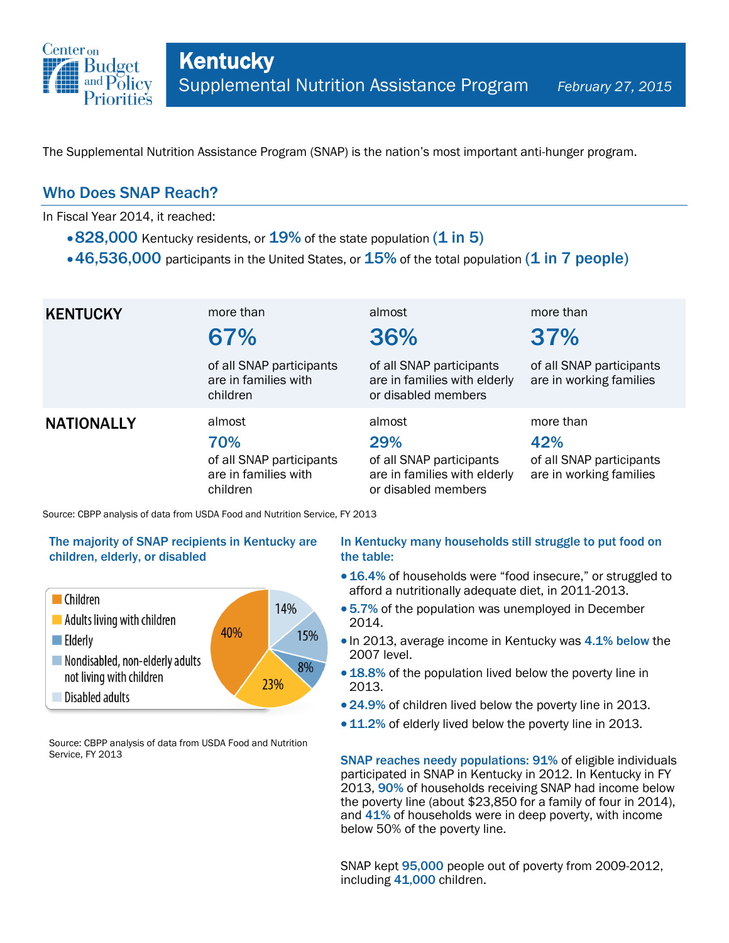

The Supplemental Nutrition Assistance Program (SNAP) is the nation's most important anti-hunger program.

## Who Does SNAP Reach?

In Fiscal Year 2014, it reached:

- $\cdot$  828,000 Kentucky residents, or  $19\%$  of the state population (1 in 5)
- $\cdot$  46,536,000 participants in the United States, or  $15\%$  of the total population (1 in 7 people)

| <b>KENTUCKY</b>   | more than<br>67%                                                              | almost<br>36%                                                                                    | more than<br>37%                                                        |
|-------------------|-------------------------------------------------------------------------------|--------------------------------------------------------------------------------------------------|-------------------------------------------------------------------------|
|                   | of all SNAP participants<br>are in families with<br>children                  | of all SNAP participants<br>are in families with elderly<br>or disabled members                  | of all SNAP participants<br>are in working families                     |
| <b>NATIONALLY</b> | almost<br>70%<br>of all SNAP participants<br>are in families with<br>children | almost<br>29%<br>of all SNAP participants<br>are in families with elderly<br>or disabled members | more than<br>42%<br>of all SNAP participants<br>are in working families |

Source: CBPP analysis of data from USDA Food and Nutrition Service, FY 2013

### The majority of SNAP recipients in Kentucky are children, elderly, or disabled



Source: CBPP analysis of data from USDA Food and Nutrition Service, FY 2013

#### In Kentucky many households still struggle to put food on the table:

- 16.4% of households were "food insecure," or struggled to afford a nutritionally adequate diet, in 2011-2013.
- 5.7% of the population was unemployed in December 2014.
- In 2013, average income in Kentucky was 4.1% below the 2007 level.
- 18.8% of the population lived below the poverty line in 2013.
- 24.9% of children lived below the poverty line in 2013.
- 11.2% of elderly lived below the poverty line in 2013.

SNAP reaches needy populations: 91% of eligible individuals participated in SNAP in Kentucky in 2012. In Kentucky in FY 2013, 90% of households receiving SNAP had income below the poverty line (about \$23,850 for a family of four in 2014), and 41% of households were in deep poverty, with income below 50% of the poverty line.

SNAP kept 95,000 people out of poverty from 2009-2012, including 41,000 children.